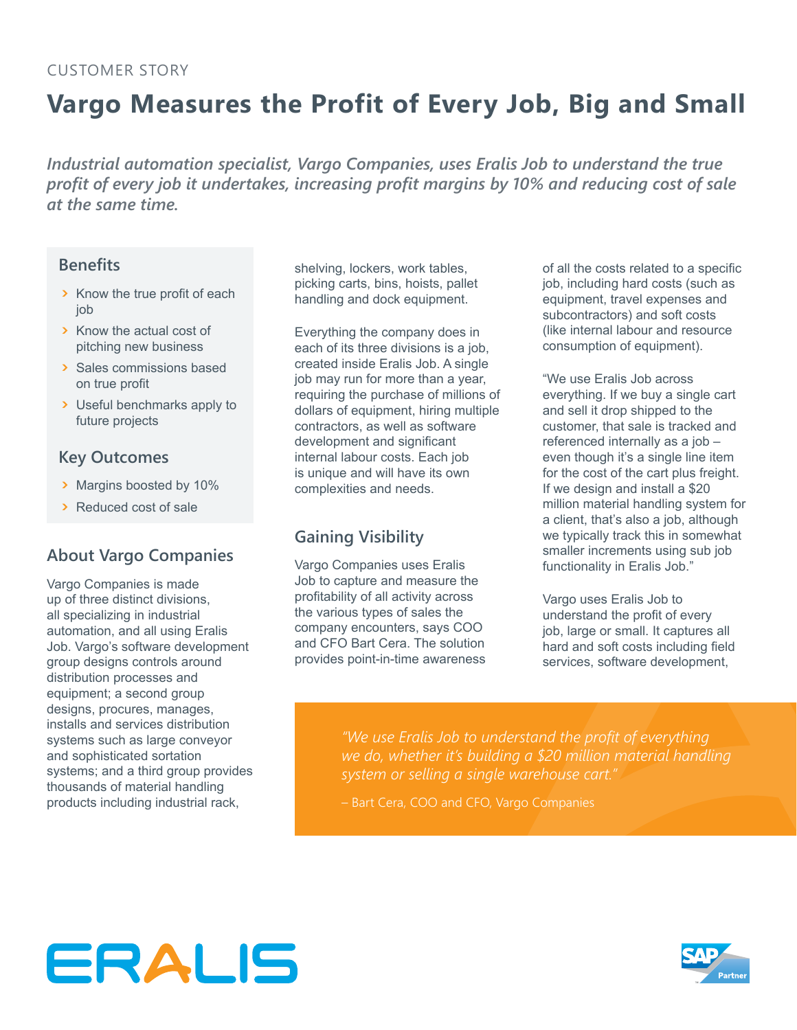#### Customer Story

# **Vargo Measures the Profit of Every Job, Big and Small**

*Industrial automation specialist, Vargo Companies, uses Eralis Job to understand the true profit of every job it undertakes, increasing profit margins by 10% and reducing cost of sale at the same time.*

#### **Benefits**

- > Know the true profit of each job
- ጉ Know the actual cost of pitching new business
- ጉ Sales commissions based on true profit
- ጉ Useful benchmarks apply to future projects

#### **Key Outcomes**

- ጉ Margins boosted by 10%
- ጉ Reduced cost of sale

### **About Vargo Companies**

Vargo Companies is made up of three distinct divisions, all specializing in industrial automation, and all using Eralis Job. Vargo's software development group designs controls around distribution processes and equipment; a second group designs, procures, manages, installs and services distribution systems such as large conveyor and sophisticated sortation systems; and a third group provides thousands of material handling products including industrial rack,

shelving, lockers, work tables, picking carts, bins, hoists, pallet handling and dock equipment.

Everything the company does in each of its three divisions is a job, created inside Eralis Job. A single job may run for more than a year, requiring the purchase of millions of dollars of equipment, hiring multiple contractors, as well as software development and significant internal labour costs. Each job is unique and will have its own complexities and needs.

## **Gaining Visibility**

Vargo Companies uses Eralis Job to capture and measure the profitability of all activity across the various types of sales the company encounters, says COO and CFO Bart Cera. The solution provides point-in-time awareness of all the costs related to a specific job, including hard costs (such as equipment, travel expenses and subcontractors) and soft costs (like internal labour and resource consumption of equipment).

"We use Eralis Job across everything. If we buy a single cart and sell it drop shipped to the customer, that sale is tracked and referenced internally as a job – even though it's a single line item for the cost of the cart plus freight. If we design and install a \$20 million material handling system for a client, that's also a job, although we typically track this in somewhat smaller increments using sub job functionality in Eralis Job."

Vargo uses Eralis Job to understand the profit of every job, large or small. It captures all hard and soft costs including field services, software development,

*"We use Eralis Job to understand the profit of everything we do, whether it's building a \$20 million material handling system or selling a single warehouse cart."*

– Bart Cera, COO and CFO, Vargo Companies